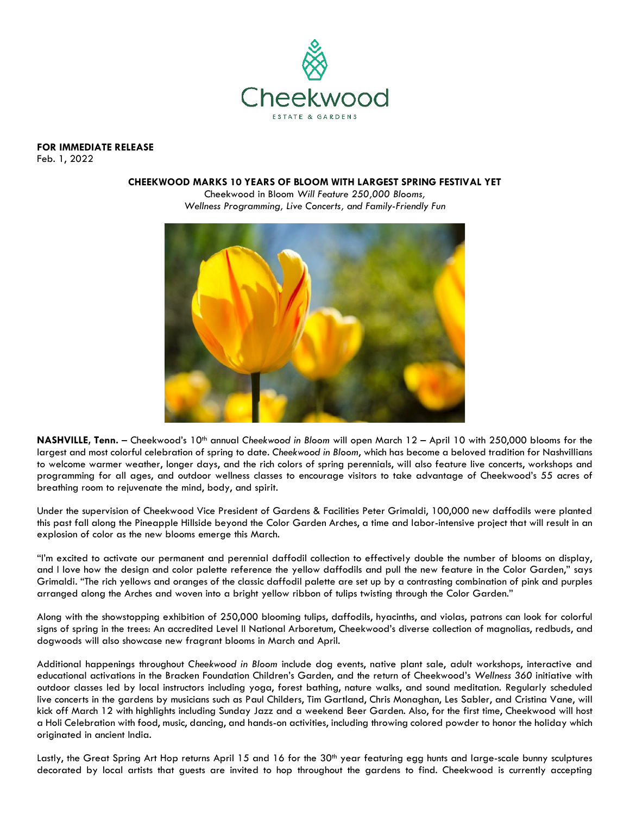

**FOR IMMEDIATE RELEASE** 

Feb. 1, 2022

## **CHEEKWOOD MARKS 10 YEARS OF BLOOM WITH LARGEST SPRING FESTIVAL YET**

Cheekwood in Bloom *Will Feature 250,000 Blooms, Wellness Programming, Live Concerts, and Family-Friendly Fun*



**NASHVILLE, Tenn.** – Cheekwood's 10<sup>th</sup> annual Cheekwood in Bloom will open March 12 – April 10 with 250,000 blooms for the largest and most colorful celebration of spring to date. *Cheekwood in Bloom*, which has become a beloved tradition for Nashvillians to welcome warmer weather, longer days, and the rich colors of spring perennials, will also feature live concerts, workshops and programming for all ages, and outdoor wellness classes to encourage visitors to take advantage of Cheekwood's 55 acres of breathing room to rejuvenate the mind, body, and spirit.

Under the supervision of Cheekwood Vice President of Gardens & Facilities Peter Grimaldi, 100,000 new daffodils were planted this past fall along the Pineapple Hillside beyond the Color Garden Arches, a time and labor-intensive project that will result in an explosion of color as the new blooms emerge this March.

"I'm excited to activate our permanent and perennial daffodil collection to effectively double the number of blooms on display, and I love how the design and color palette reference the yellow daffodils and pull the new feature in the Color Garden," says Grimaldi. "The rich yellows and oranges of the classic daffodil palette are set up by a contrasting combination of pink and purples arranged along the Arches and woven into a bright yellow ribbon of tulips twisting through the Color Garden."

Along with the showstopping exhibition of 250,000 blooming tulips, daffodils, hyacinths, and violas, patrons can look for colorful signs of spring in the trees: An accredited Level II National Arboretum, Cheekwood's diverse collection of magnolias, redbuds, and dogwoods will also showcase new fragrant blooms in March and April.

Additional happenings throughout *Cheekwood in Bloom* include dog events, native plant sale, adult workshops, interactive and educational activations in the Bracken Foundation Children's Garden, and the return of Cheekwood's *Wellness 360* initiative with outdoor classes led by local instructors including yoga, forest bathing, nature walks, and sound meditation. Regularly scheduled live concerts in the gardens by musicians such as Paul Childers, Tim Gartland, Chris Monaghan, Les Sabler, and Cristina Vane, will kick off March 12 with highlights including Sunday Jazz and a weekend Beer Garden. Also, for the first time, Cheekwood will host a Holi Celebration with food, music, dancing, and hands-on activities, including throwing colored powder to honor the holiday which originated in ancient India.

Lastly, the Great Spring Art Hop returns April 15 and 16 for the 30<sup>th</sup> year featuring egg hunts and large-scale bunny sculptures decorated by local artists that guests are invited to hop throughout the gardens to find. Cheekwood is currently accepting